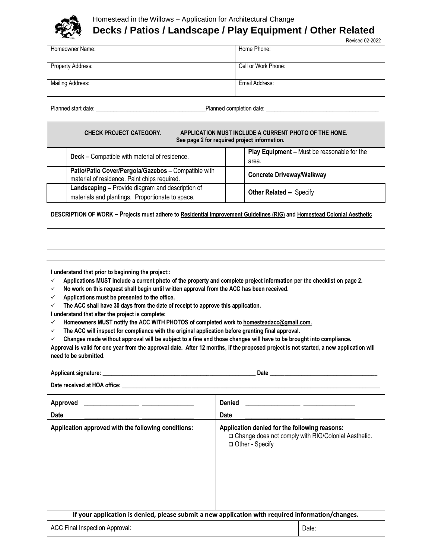

# Homestead in the Willows – Application for Architectural Change **Decks / Patios / Landscape / Play Equipment / Other Related**

| <b>Revised 02-2022</b> |  |
|------------------------|--|
|                        |  |

| Homeowner Name:   | Home Phone:         |
|-------------------|---------------------|
| Property Address: | Cell or Work Phone: |
| Mailing Address:  | Email Address:      |

Planned start date: \_\_\_\_\_\_\_\_\_\_\_\_\_\_\_\_\_\_\_\_\_\_\_\_\_\_\_\_\_\_\_\_\_\_\_\_\_\_Planned completion date: \_\_\_\_\_\_\_\_\_\_\_\_\_\_\_\_\_\_\_\_\_\_\_\_\_\_\_\_\_\_\_\_\_\_\_\_\_\_\_

| APPLICATION MUST INCLUDE A CURRENT PHOTO OF THE HOME.<br><b>CHECK PROJECT CATEGORY.</b><br>See page 2 for required project information. |                                                                                                      |                                                      |  |  |
|-----------------------------------------------------------------------------------------------------------------------------------------|------------------------------------------------------------------------------------------------------|------------------------------------------------------|--|--|
|                                                                                                                                         | Deck - Compatible with material of residence.                                                        | Play Equipment - Must be reasonable for the<br>area. |  |  |
|                                                                                                                                         | Patio/Patio Cover/Pergola/Gazebos - Compatible with<br>material of residence. Paint chips required.  | <b>Concrete Driveway/Walkway</b>                     |  |  |
|                                                                                                                                         | Landscaping - Provide diagram and description of<br>materials and plantings. Proportionate to space. | <b>Other Related -- Specify</b>                      |  |  |

**DESCRIPTION OF WORK – Projects must adhere t[o Residential Improvement Guidelines \(RIG\)](https://www.homesteadinthewillows.org/residential-improvement-guidelines) an[d Homestead Colonial Aesthetic](https://www.homesteadinthewillows.org/homestead-aesthetic)**

**I understand that prior to beginning the project::**

- **Applications MUST include a current photo of the property and complete project information per the checklist on page 2.**
- **No work on this request shall begin until written approval from the ACC has been received.**
- **Applications must be presented to the office.**
- **The ACC shall have 30 days from the date of receipt to approve this application.**

**I understand that after the project is complete:**

- **Homeowners MUST notify the ACC WITH PHOTOS of completed work t[o homesteadacc@gmail.com.](mailto:homesteadacc@gmail.com)**
- **The ACC will inspect for compliance with the original application before granting final approval.**
- **Changes made without approval will be subject to a fine and those changes will have to be brought into compliance.**

**Approval is valid for one year from the approval date. After 12 months, if the proposed project is not started, a new application will need to be submitted.**

| Applicant<br>$ \alpha$ naturo $\cdot$<br>минанн | Date |
|-------------------------------------------------|------|
|                                                 |      |

Date received at HOA office:

| Approved<br>Date                                                                                  | <b>Denied</b><br><b>Date</b>                                                                                                |  |
|---------------------------------------------------------------------------------------------------|-----------------------------------------------------------------------------------------------------------------------------|--|
| Application approved with the following conditions:                                               | Application denied for the following reasons:<br>□ Change does not comply with RIG/Colonial Aesthetic.<br>□ Other - Specify |  |
| If your application is denied, please submit a new application with required information/changes. |                                                                                                                             |  |

| <b>ACC Final Inspection Approval:</b> | Date: |
|---------------------------------------|-------|
|---------------------------------------|-------|